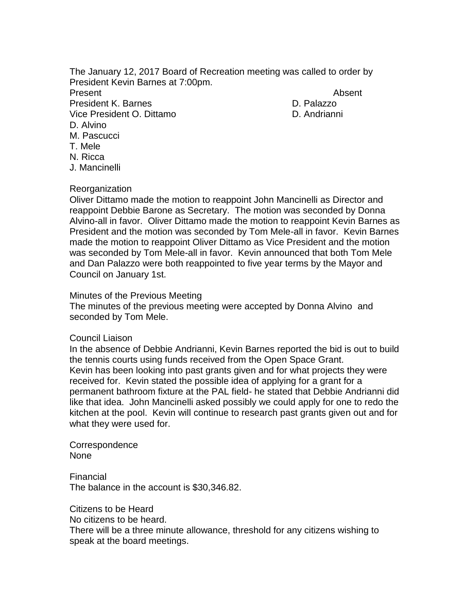The January 12, 2017 Board of Recreation meeting was called to order by President Kevin Barnes at 7:00pm.

Present **Absent** President K. Barnes D. Palazzo Vice President O. Dittamo D. Andrianni D. Alvino M. Pascucci T. Mele N. Ricca

## Reorganization

J. Mancinelli

Oliver Dittamo made the motion to reappoint John Mancinelli as Director and reappoint Debbie Barone as Secretary. The motion was seconded by Donna Alvino-all in favor. Oliver Dittamo made the motion to reappoint Kevin Barnes as President and the motion was seconded by Tom Mele-all in favor. Kevin Barnes made the motion to reappoint Oliver Dittamo as Vice President and the motion was seconded by Tom Mele-all in favor. Kevin announced that both Tom Mele and Dan Palazzo were both reappointed to five year terms by the Mayor and Council on January 1st.

## Minutes of the Previous Meeting

The minutes of the previous meeting were accepted by Donna Alvino and seconded by Tom Mele.

#### Council Liaison

In the absence of Debbie Andrianni, Kevin Barnes reported the bid is out to build the tennis courts using funds received from the Open Space Grant. Kevin has been looking into past grants given and for what projects they were received for. Kevin stated the possible idea of applying for a grant for a permanent bathroom fixture at the PAL field- he stated that Debbie Andrianni did like that idea. John Mancinelli asked possibly we could apply for one to redo the kitchen at the pool. Kevin will continue to research past grants given out and for what they were used for.

Correspondence None

Financial The balance in the account is \$30,346.82.

Citizens to be Heard

No citizens to be heard.

There will be a three minute allowance, threshold for any citizens wishing to speak at the board meetings.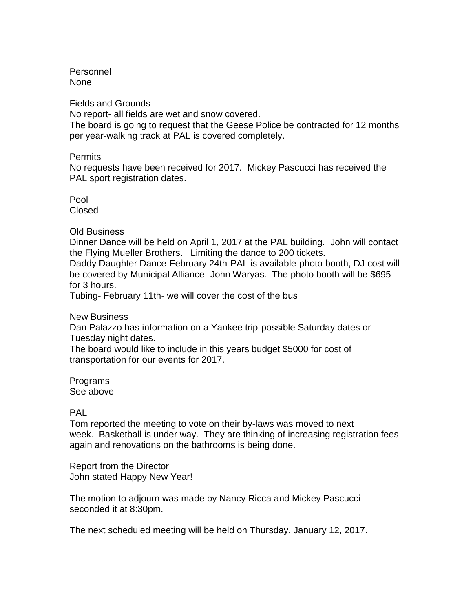Personnel None

Fields and Grounds

No report- all fields are wet and snow covered.

The board is going to request that the Geese Police be contracted for 12 months per year-walking track at PAL is covered completely.

## Permits

No requests have been received for 2017. Mickey Pascucci has received the PAL sport registration dates.

Pool Closed

Old Business

Dinner Dance will be held on April 1, 2017 at the PAL building. John will contact the Flying Mueller Brothers. Limiting the dance to 200 tickets.

Daddy Daughter Dance-February 24th-PAL is available-photo booth, DJ cost will be covered by Municipal Alliance- John Waryas. The photo booth will be \$695 for 3 hours.

Tubing- February 11th- we will cover the cost of the bus

New Business

Dan Palazzo has information on a Yankee trip-possible Saturday dates or Tuesday night dates.

The board would like to include in this years budget \$5000 for cost of transportation for our events for 2017.

Programs See above

# PAL

Tom reported the meeting to vote on their by-laws was moved to next week. Basketball is under way. They are thinking of increasing registration fees again and renovations on the bathrooms is being done.

Report from the Director John stated Happy New Year!

The motion to adjourn was made by Nancy Ricca and Mickey Pascucci seconded it at 8:30pm.

The next scheduled meeting will be held on Thursday, January 12, 2017.